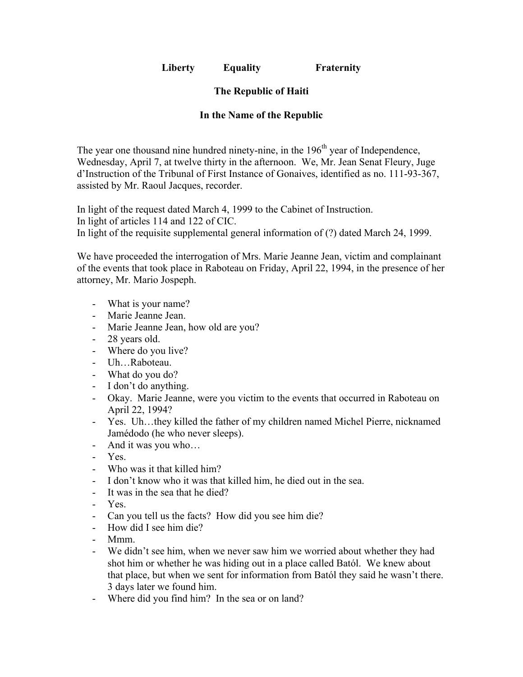**Liberty Equality Fraternity**

## **The Republic of Haiti**

## **In the Name of the Republic**

The year one thousand nine hundred ninety-nine, in the  $196<sup>th</sup>$  year of Independence, Wednesday, April 7, at twelve thirty in the afternoon. We, Mr. Jean Senat Fleury, Juge d'Instruction of the Tribunal of First Instance of Gonaives, identified as no. 111-93-367, assisted by Mr. Raoul Jacques, recorder.

In light of the request dated March 4, 1999 to the Cabinet of Instruction. In light of articles 114 and 122 of CIC. In light of the requisite supplemental general information of (?) dated March 24, 1999.

We have proceeded the interrogation of Mrs. Marie Jeanne Jean, victim and complainant of the events that took place in Raboteau on Friday, April 22, 1994, in the presence of her attorney, Mr. Mario Jospeph.

- What is your name?
- Marie Jeanne Jean.
- Marie Jeanne Jean, how old are you?
- 28 years old.
- Where do you live?
- Uh…Raboteau.
- What do you do?
- I don't do anything.
- Okay. Marie Jeanne, were you victim to the events that occurred in Raboteau on April 22, 1994?
- Yes. Uh…they killed the father of my children named Michel Pierre, nicknamed Jamédodo (he who never sleeps).
- And it was you who…
- Yes.
- Who was it that killed him?
- I don't know who it was that killed him, he died out in the sea.
- It was in the sea that he died?
- Yes.
- Can you tell us the facts? How did you see him die?
- How did I see him die?
- Mmm.
- We didn't see him, when we never saw him we worried about whether they had shot him or whether he was hiding out in a place called Batól. We knew about that place, but when we sent for information from Batól they said he wasn't there. 3 days later we found him.
- Where did you find him? In the sea or on land?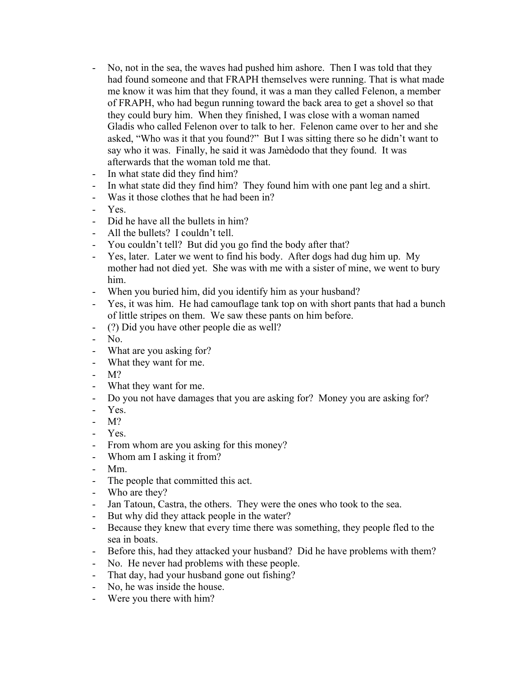- No, not in the sea, the waves had pushed him ashore. Then I was told that they had found someone and that FRAPH themselves were running. That is what made me know it was him that they found, it was a man they called Felenon, a member of FRAPH, who had begun running toward the back area to get a shovel so that they could bury him. When they finished, I was close with a woman named Gladis who called Felenon over to talk to her. Felenon came over to her and she asked, "Who was it that you found?" But I was sitting there so he didn't want to say who it was. Finally, he said it was Jamèdodo that they found. It was afterwards that the woman told me that.
- In what state did they find him?
- In what state did they find him? They found him with one pant leg and a shirt.
- Was it those clothes that he had been in?
- Yes.
- Did he have all the bullets in him?
- All the bullets? I couldn't tell.
- You couldn't tell? But did you go find the body after that?
- Yes, later. Later we went to find his body. After dogs had dug him up. My mother had not died yet. She was with me with a sister of mine, we went to bury him.
- When you buried him, did you identify him as your husband?
- Yes, it was him. He had camouflage tank top on with short pants that had a bunch of little stripes on them. We saw these pants on him before.
- (?) Did you have other people die as well?
- No.
- What are you asking for?
- What they want for me.
- M?
- What they want for me.
- Do you not have damages that you are asking for? Money you are asking for?
- Yes.
- M?
- Yes.
- From whom are you asking for this money?
- Whom am I asking it from?
- Mm.
- The people that committed this act.
- Who are they?
- Jan Tatoun, Castra, the others. They were the ones who took to the sea.
- But why did they attack people in the water?
- Because they knew that every time there was something, they people fled to the sea in boats.
- Before this, had they attacked your husband? Did he have problems with them?
- No. He never had problems with these people.
- That day, had your husband gone out fishing?
- No, he was inside the house.
- Were you there with him?